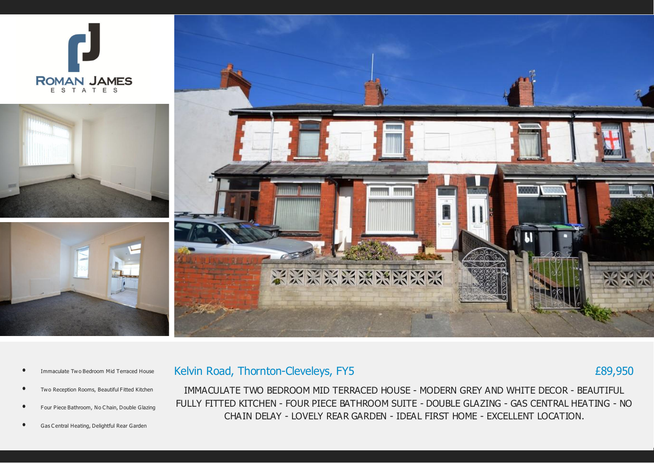



Kelvin Road, Thornton-Cleveleys, FY5

- Immaculate Two Bedroom Mid Terraced House
- Two Reception Rooms, Beautiful Fitted Kitchen
- Four Piece Bathroom, No C hain, Double Glazing
- Gas C entral Heating, Delightful Rear Garden

IMMACULATE TWO BEDROOM MID TERRACED HOUSE - MODERN GREY AND WHITE DECOR - BEAUTIFUL FULLY FITTED KITCHEN - FOUR PIECE BATHROOM SUITE - DOUBLE GLAZING - GAS CENTRAL HEATING - NO CHAIN DELAY - LOVELY REAR GARDEN - IDEAL FIRST HOME - EXCELLENT LOCATION.

£89,950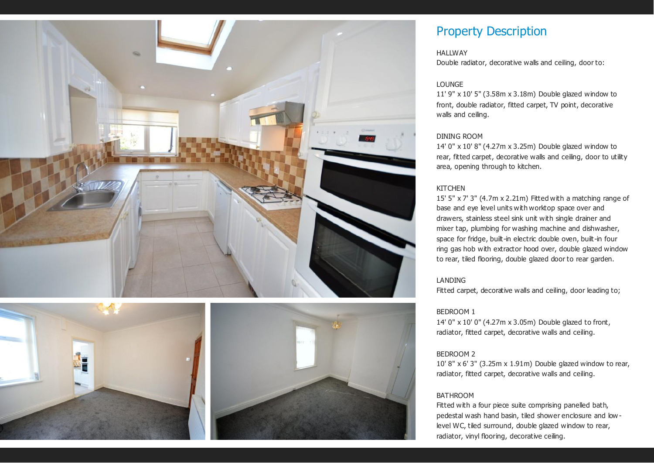





# Property Description

#### **HALLWAY**

Double radiator, decorative walls and ceiling, door to:

## LOUNGE

11' 9" x 10' 5" (3.58m x 3.18m) Double glazed window to front, double radiator, fitted carpet, TV point, decorative walls and ceiling.

#### DINING ROOM

14' 0" x 10' 8" (4.27m x 3.25m) Double glazed window to rear, fitted carpet, decorative walls and ceiling, door to utility area, opening through to kitchen.

## **KITCHEN**

15' 5" x 7' 3" (4.7m x 2.21m) Fitted with a matching range of base and eye level units with worktop space over and drawers, stainless steel sink unit with single drainer and mixer tap, plumbing for washing machine and dishwasher, space for fridge, built-in electric double oven, built-in four ring gas hob with extractor hood over, double glazed window to rear, tiled flooring, double glazed door to rear garden.

## LANDING

Fitted carpet, decorative walls and ceiling, door leading to;

## BEDROOM 1

14' 0" x 10' 0" (4.27m x 3.05m) Double glazed to front, radiator, fitted carpet, decorative walls and ceiling.

#### BEDROOM 2

10' 8" x 6' 3" (3.25m x 1.91m) Double glazed window to rear, radiator, fitted carpet, decorative walls and ceiling.

## BATHROOM

Fitted with a four piece suite comprising panelled bath, pedestal wash hand basin, tiled shower enclosure and low level WC, tiled surround, double glazed window to rear, radiator, vinyl flooring, decorative ceiling.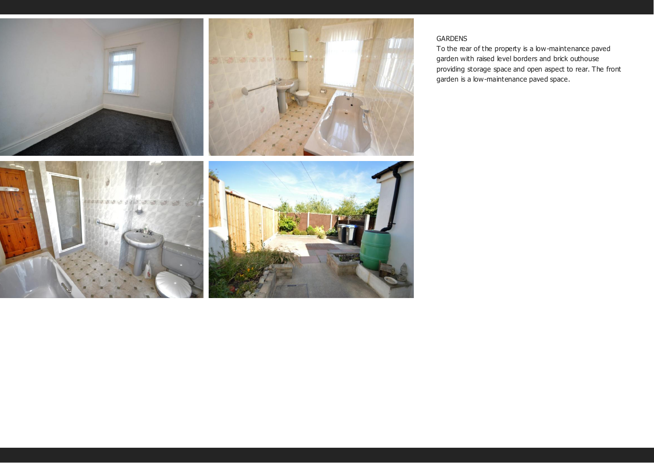

## GARDENS

To the rear of the property is a low-maintenance paved garden with raised level borders and brick outhouse providing storage space and open aspect to rear. The front garden is a low-maintenance paved space.